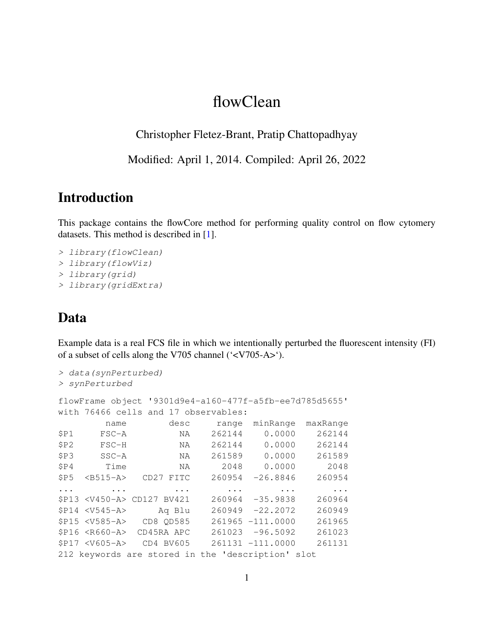# flowClean

Christopher Fletez-Brant, Pratip Chattopadhyay

Modified: April 1, 2014. Compiled: April 26, 2022

## Introduction

This package contains the flowCore method for performing quality control on flow cytomery datasets. This method is described in [\[1\]](#page-3-0).

```
> library(flowClean)
> library(flowViz)
> library(grid)
> library(gridExtra)
```
## Data

Example data is a real FCS file in which we intentionally perturbed the fluorescent intensity (FI) of a subset of cells along the V705 channel ('<V705-A>').

```
> data(synPerturbed)
> synPerturbed
flowFrame object '9301d9e4-a160-477f-a5fb-ee7d785d5655'
with 76466 cells and 17 observables:
       name desc range minRange maxRange
$P1 FSC-A NA 262144 0.0000 262144
$P2 FSC-H NA 262144 0.0000 262144
$P3 SSC-A NA 261589 0.0000 261589
$P4 Time NA 2048 0.0000 2048
$P5 <B515-A> CD27 FITC 260954 -26.8846 260954
... ... ... ... ... ...
$P13 <V450-A> CD127 BV421 260964 -35.9838 260964
$P14 <V545-A> Aq Blu 260949 -22.2072 260949
$P15 <V585-A> CD8 QD585 261965 -111.0000 261965
$P16 <R660-A> CD45RA APC 261023 -96.5092 261023
$P17 <V605-A> CD4 BV605 261131 -111.0000 261131
212 keywords are stored in the 'description' slot
```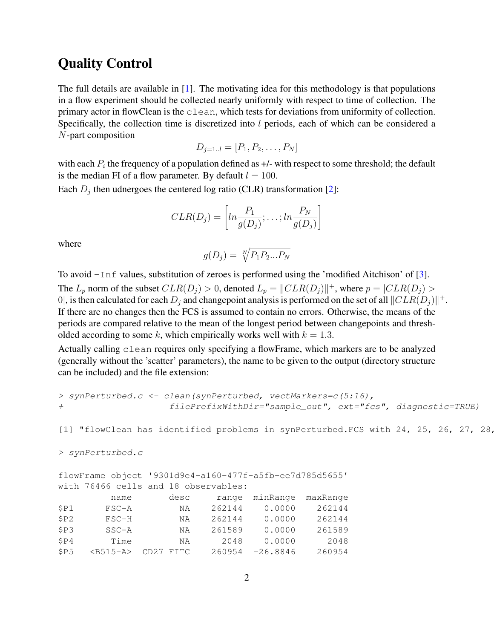#### Quality Control

The full details are available in [\[1\]](#page-3-0). The motivating idea for this methodology is that populations in a flow experiment should be collected nearly uniformly with respect to time of collection. The primary actor in flowClean is the clean, which tests for deviations from uniformity of collection. Specifically, the collection time is discretized into l periods, each of which can be considered a N-part composition

$$
D_{j=1..l} = [P_1, P_2, \dots, P_N]
$$

with each  $P_i$  the frequency of a population defined as  $+/-$  with respect to some threshold; the default is the median FI of a flow parameter. By default  $l = 100$ .

Each  $D_j$  then udnergoes the centered log ratio (CLR) transformation [\[2\]](#page-3-1):

$$
CLR(D_j) = \left[ln \frac{P_1}{g(D_j)}; \dots; ln \frac{P_N}{g(D_j)}\right]
$$

where

$$
g(D_j) = \sqrt[N]{P_1 P_2 ... P_N}
$$

To avoid -Inf values, substitution of zeroes is performed using the 'modified Aitchison' of [\[3\]](#page-3-2). The  $L_p$  norm of the subset  $CLR(D_j) > 0$ , denoted  $L_p = ||CLR(D_j)||^+$ , where  $p = |CLR(D_j) >$ 0, is then calculated for each  $D_j$  and changepoint analysis is performed on the set of all  $||CLR(D_j)||^+$ . If there are no changes then the FCS is assumed to contain no errors. Otherwise, the means of the periods are compared relative to the mean of the longest period between changepoints and thresholded according to some k, which empirically works well with  $k = 1.3$ .

Actually calling clean requires only specifying a flowFrame, which markers are to be analyzed (generally without the 'scatter' parameters), the name to be given to the output (directory structure can be included) and the file extension:

```
> synPerturbed.c <- clean(synPerturbed, vectMarkers=c(5:16),
+ filePrefixWithDir="sample_out", ext="fcs", diagnostic=TRUE)
[1] "flowClean has identified problems in synPerturbed.FCS with 24, 25, 26, 27, 28,
> synPerturbed.c
flowFrame object '9301d9e4-a160-477f-a5fb-ee7d785d5655'
with 76466 cells and 18 observables:
       name desc range minRange maxRange
$P1 FSC-A NA 262144 0.0000 262144
$P2 FSC-H NA 262144 0.0000 262144
$P3 SSC-A NA 261589 0.0000 261589
$P4 Time NA 2048 0.0000 2048
$P5 <B515-A> CD27 FITC 260954 -26.8846 260954
```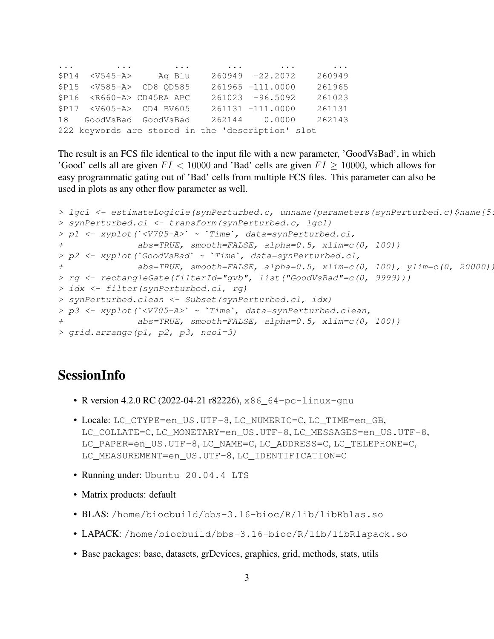... ... ... ... ... ... \$P14 <V545-A> Aq Blu 260949 -22.2072 260949 \$P15 <V585-A> CD8 QD585 261965 -111.0000 261965 \$P16 <R660-A> CD45RA APC 261023 -96.5092 261023 \$P17 <V605-A> CD4 BV605 261131 -111.0000 261131 18 GoodVsBad GoodVsBad 262144 0.0000 262143 222 keywords are stored in the 'description' slot

The result is an FCS file identical to the input file with a new parameter, 'GoodVsBad', in which 'Good' cells all are given  $FI < 10000$  and 'Bad' cells are given  $FI \geq 10000$ , which allows for easy programmatic gating out of 'Bad' cells from multiple FCS files. This parameter can also be used in plots as any other flow parameter as well.

```
> lgcl <- estimateLogicle(synPerturbed.c, unname(parameters(synPerturbed.c)$name[5
> synPerturbed.cl <- transform(synPerturbed.c, lgcl)
> lgcl <- estimateLogicle(synPerturbed.c, unname(paramete> synPerturbed.cl <- transform(synPerturbed.c, lgcl)<br>> p1 <- xyplot(`<V705-A>` ~ `Time`, data=synPerturbed.cl,
+ abs=TRUE, smooth=FALSE, alpha=0.5, xlim=c(0, 100))
> synPerturbed.cl <- transform(synPerturbed.c, 1gcl)<br>> p1 <- xyplot(`<V705-A>` ~ `Time`, data=synPerturbed.cl,<br>+ abs=TRUE, smooth=FALSE, alpha=0.5, xlim=c((<br>> p2 <- xyplot(`GoodVsBad` ~ `Time`, data=synPerturbed.cl,
+ abs=TRUE, smooth=FALSE, alpha=0.5, xlim=c(0, 100), ylim=c(0, 20000))
> rg <- rectangleGate(filterId="gvb", list("GoodVsBad"=c(0, 9999)))
> idx <- filter(synPerturbed.cl, rg)
> synPerturbed.clean <- Subset(synPerturbed.cl, idx)
> p3 <- xyplot(`<V705-A>` ~ `Time`, data=synPerturbed.clean,
+ abs=TRUE, smooth=FALSE, alpha=0.5, xlim=c(0, 100))
> grid.arrange(p1, p2, p3, ncol=3)
```
## SessionInfo

- R version 4.2.0 RC (2022-04-21 r82226), x86\_64-pc-linux-gnu
- Locale: LC\_CTYPE=en\_US.UTF-8, LC\_NUMERIC=C, LC\_TIME=en\_GB, LC\_COLLATE=C, LC\_MONETARY=en\_US.UTF-8, LC\_MESSAGES=en\_US.UTF-8, LC\_PAPER=en\_US.UTF-8, LC\_NAME=C, LC\_ADDRESS=C, LC\_TELEPHONE=C, LC\_MEASUREMENT=en\_US.UTF-8, LC\_IDENTIFICATION=C
- Running under: Ubuntu 20.04.4 LTS
- Matrix products: default
- BLAS: /home/biocbuild/bbs-3.16-bioc/R/lib/libRblas.so
- LAPACK: /home/biocbuild/bbs-3.16-bioc/R/lib/libRlapack.so
- Base packages: base, datasets, grDevices, graphics, grid, methods, stats, utils